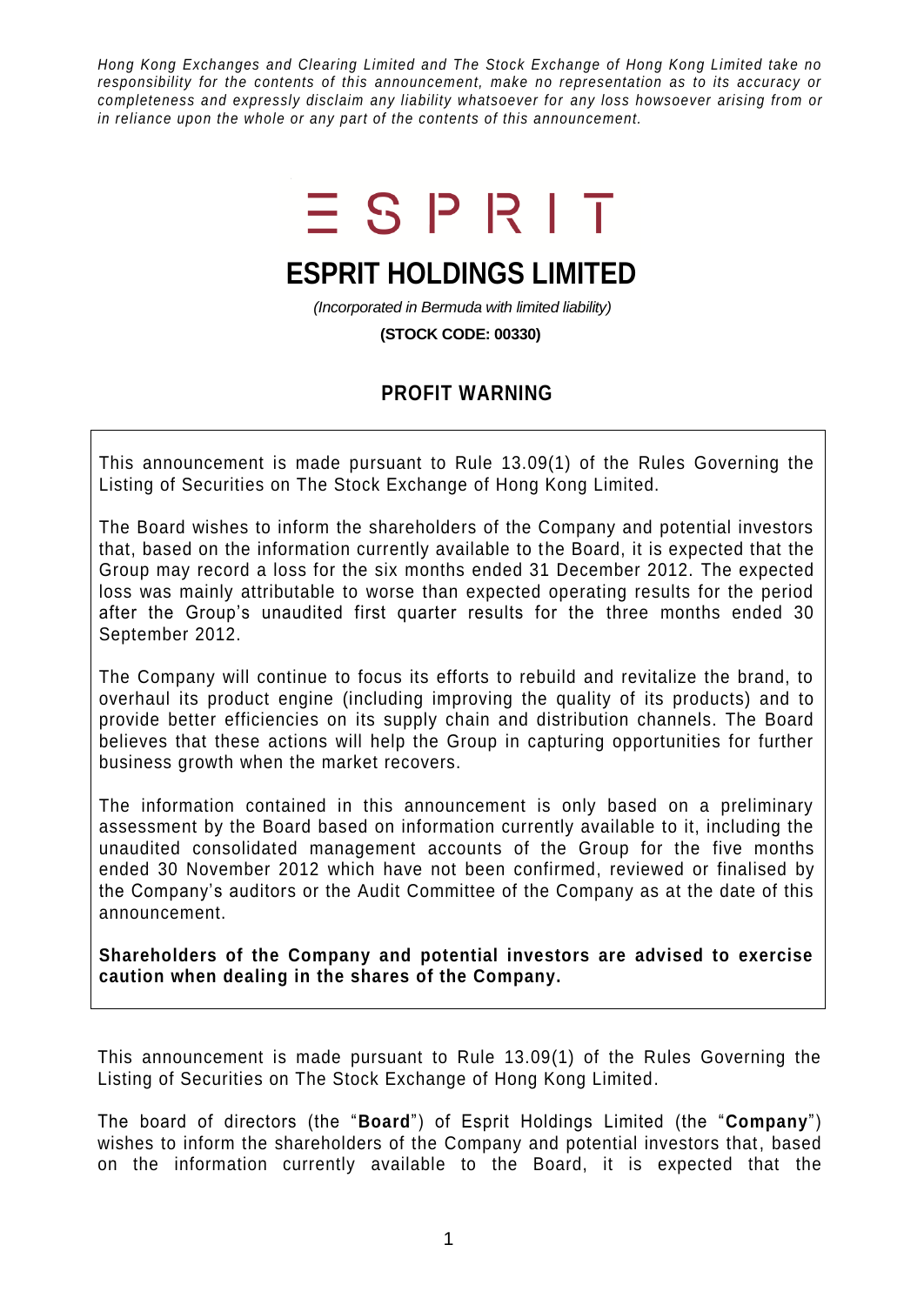*Hong Kong Exchanges and Clearing Limited and The Stock Exchange of Hong Kong Limited take no responsibility for the contents of this announcement, make no representation as to its accuracy or completeness and expressly disclaim any liability whatsoever for any loss howsoever arising from or in reliance upon the whole or any part of the contents of this announcement.*

## $ESPIRT$

## **ESPRIT HOLDINGS LIMITED**

*(Incorporated in Bermuda with limited liability)*

**(STOCK CODE: 00330)**

## **PROFIT WARNING**

This announcement is made pursuant to Rule 13.09(1) of the Rules Governing the Listing of Securities on The Stock Exchange of Hong Kong Limited.

The Board wishes to inform the shareholders of the Company and potential investors that, based on the information currently available to the Board, it is expected that the Group may record a loss for the six months ended 31 December 2012. The expected loss was mainly attributable to worse than expected operating results for the period after the Group's unaudited first quarter results for the three months ended 30 September 2012.

The Company will continue to focus its efforts to rebuild and revitalize the brand, to overhaul its product engine (including improving the quality of its products) and to provide better efficiencies on its supply chain and distribution channels. The Board believes that these actions will help the Group in capturing opportunities for further business growth when the market recovers.

The information contained in this announcement is only based on a preliminary assessment by the Board based on information currently available to it, including the unaudited consolidated management accounts of the Group for the five months ended 30 November 2012 which have not been confirmed, reviewed or finalised by the Company's auditors or the Audit Committee of the Company as at the date of this announcement.

**Shareholders of the Company and potential investors are advised to exercise caution when dealing in the shares of the Company.**

This announcement is made pursuant to Rule 13.09(1) of the Rules Governing the Listing of Securities on The Stock Exchange of Hong Kong Limited.

The board of directors (the "**Board**") of Esprit Holdings Limited (the "**Company**") wishes to inform the shareholders of the Company and potential investors that, based on the information currently available to the Board, it is expected that the